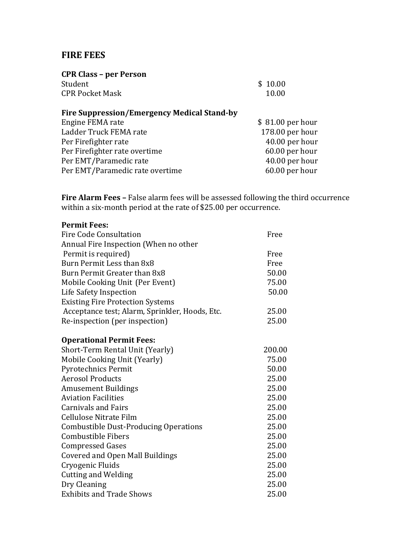## **FIRE FEES**

| \$10.00          |
|------------------|
| 10.00            |
|                  |
| \$81.00 per hour |
| 178.00 per hour  |
| 40.00 per hour   |
| 60.00 per hour   |
| 40.00 per hour   |
| 60.00 per hour   |
|                  |

**Fire Alarm Fees –** False alarm fees will be assessed following the third occurrence within a six-month period at the rate of \$25.00 per occurrence.

| <b>Permit Fees:</b>                            |        |
|------------------------------------------------|--------|
| <b>Fire Code Consultation</b>                  | Free   |
| Annual Fire Inspection (When no other          |        |
| Permit is required)                            | Free   |
| Burn Permit Less than 8x8                      | Free   |
| Burn Permit Greater than 8x8                   | 50.00  |
| Mobile Cooking Unit (Per Event)                | 75.00  |
| Life Safety Inspection                         | 50.00  |
| <b>Existing Fire Protection Systems</b>        |        |
| Acceptance test; Alarm, Sprinkler, Hoods, Etc. | 25.00  |
| Re-inspection (per inspection)                 | 25.00  |
| <b>Operational Permit Fees:</b>                |        |
| Short-Term Rental Unit (Yearly)                | 200.00 |
| Mobile Cooking Unit (Yearly)                   | 75.00  |
| <b>Pyrotechnics Permit</b>                     | 50.00  |
| <b>Aerosol Products</b>                        | 25.00  |
| <b>Amusement Buildings</b>                     | 25.00  |
| <b>Aviation Facilities</b>                     | 25.00  |
| <b>Carnivals and Fairs</b>                     | 25.00  |
| Cellulose Nitrate Film                         | 25.00  |
| <b>Combustible Dust-Producing Operations</b>   | 25.00  |
| <b>Combustible Fibers</b>                      | 25.00  |
| <b>Compressed Gases</b>                        | 25.00  |
| <b>Covered and Open Mall Buildings</b>         | 25.00  |
| Cryogenic Fluids                               | 25.00  |
| <b>Cutting and Welding</b>                     | 25.00  |
| Dry Cleaning                                   | 25.00  |
| <b>Exhibits and Trade Shows</b>                | 25.00  |